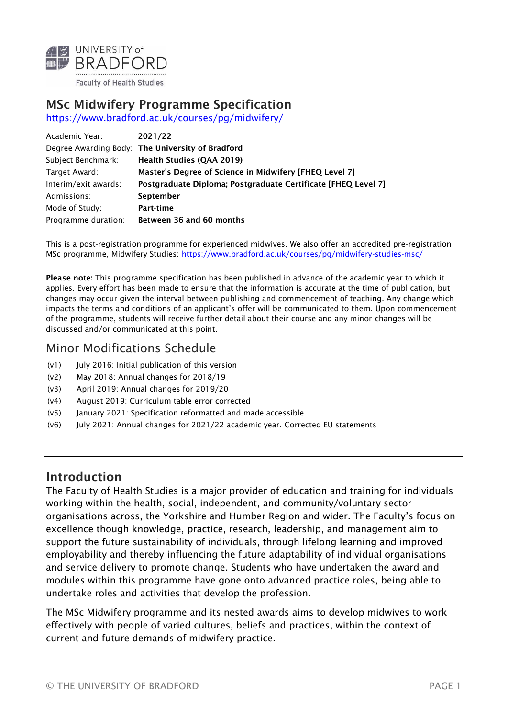

## MSc Midwifery Programme Specification

<https://www.bradford.ac.uk/courses/pg/midwifery/>

| Academic Year:       | 2021/22                                                       |
|----------------------|---------------------------------------------------------------|
|                      | Degree Awarding Body: The University of Bradford              |
| Subject Benchmark:   | <b>Health Studies (QAA 2019)</b>                              |
| Target Award:        | Master's Degree of Science in Midwifery [FHEQ Level 7]        |
| Interim/exit awards: | Postgraduate Diploma; Postgraduate Certificate [FHEQ Level 7] |
| Admissions:          | <b>September</b>                                              |
| Mode of Study:       | Part-time                                                     |
| Programme duration:  | Between 36 and 60 months                                      |

This is a post-registration programme for experienced midwives. We also offer an accredited pre-registration MSc programme, Midwifery Studies: [https://www.bradford.ac.uk/courses/pg/midwifery](https://www.bradford.ac.uk/courses/pg/midwifery-studies-msc/)-studies-msc/

Please note: This programme specification has been published in advance of the academic year to which it applies. Every effort has been made to ensure that the information is accurate at the time of publication, but changes may occur given the interval between publishing and commencement of teaching. Any change which impacts the terms and conditions of an applicant's offer will be communicated to them. Upon commencement of the programme, students will receive further detail about their course and any minor changes will be discussed and/or communicated at this point.

### Minor Modifications Schedule

- (v1) July 2016: Initial publication of this version
- (v2) May 2018: Annual changes for 2018/19
- (v3) April 2019: Annual changes for 2019/20
- (v4) August 2019: Curriculum table error corrected
- (v5) January 2021: Specification reformatted and made accessible
- (v6) July 2021: Annual changes for 2021/22 academic year. Corrected EU statements

#### Introduction

The Faculty of Health Studies is a major provider of education and training for individuals working within the health, social, independent, and community/voluntary sector organisations across, the Yorkshire and Humber Region and wider. The Faculty's focus on excellence though knowledge, practice, research, leadership, and management aim to support the future sustainability of individuals, through lifelong learning and improved employability and thereby influencing the future adaptability of individual organisations and service delivery to promote change. Students who have undertaken the award and modules within this programme have gone onto advanced practice roles, being able to undertake roles and activities that develop the profession.

The MSc Midwifery programme and its nested awards aims to develop midwives to work effectively with people of varied cultures, beliefs and practices, within the context of current and future demands of midwifery practice.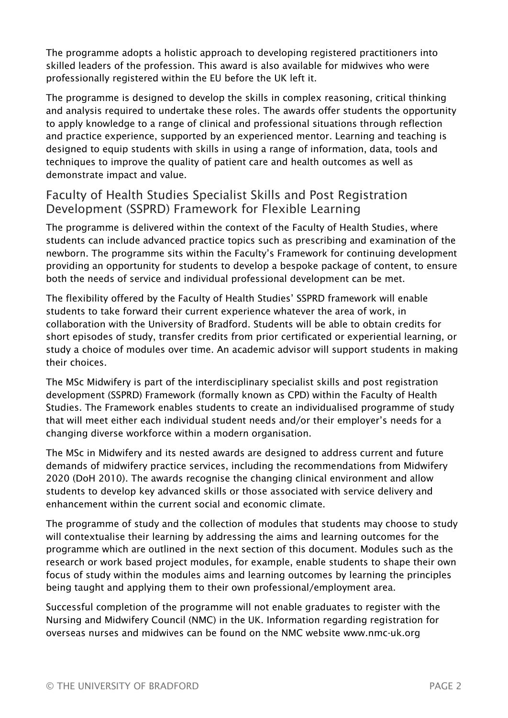The programme adopts a holistic approach to developing registered practitioners into skilled leaders of the profession. This award is also available for midwives who were professionally registered within the EU before the UK left it.

The programme is designed to develop the skills in complex reasoning, critical thinking and analysis required to undertake these roles. The awards offer students the opportunity to apply knowledge to a range of clinical and professional situations through reflection and practice experience, supported by an experienced mentor. Learning and teaching is designed to equip students with skills in using a range of information, data, tools and techniques to improve the quality of patient care and health outcomes as well as demonstrate impact and value.

#### Faculty of Health Studies Specialist Skills and Post Registration Development (SSPRD) Framework for Flexible Learning

The programme is delivered within the context of the Faculty of Health Studies, where students can include advanced practice topics such as prescribing and examination of the newborn. The programme sits within the Faculty's Framework for continuing development providing an opportunity for students to develop a bespoke package of content, to ensure both the needs of service and individual professional development can be met.

The flexibility offered by the Faculty of Health Studies' SSPRD framework will enable students to take forward their current experience whatever the area of work, in collaboration with the University of Bradford. Students will be able to obtain credits for short episodes of study, transfer credits from prior certificated or experiential learning, or study a choice of modules over time. An academic advisor will support students in making their choices.

The MSc Midwifery is part of the interdisciplinary specialist skills and post registration development (SSPRD) Framework (formally known as CPD) within the Faculty of Health Studies. The Framework enables students to create an individualised programme of study that will meet either each individual student needs and/or their employer's needs for a changing diverse workforce within a modern organisation.

The MSc in Midwifery and its nested awards are designed to address current and future demands of midwifery practice services, including the recommendations from Midwifery 2020 [\(DoH 2010\)](https://assets.publishing.service.gov.uk/government/uploads/system/uploads/attachment_data/file/216029/dh_119470.pdf). The awards recognise the changing clinical environment and allow students to develop key advanced skills or those associated with service delivery and enhancement within the current social and economic climate.

The programme of study and the collection of modules that students may choose to study will contextualise their learning by addressing the aims and learning outcomes for the programme which are outlined in the next section of this document. Modules such as the research or work based project modules, for example, enable students to shape their own focus of study within the modules aims and learning outcomes by learning the principles being taught and applying them to their own professional/employment area.

Successful completion of the programme will not enable graduates to register with the Nursing and Midwifery Council (NMC) in the UK. Information regarding registration for overseas nurses and midwives can be found on the NMC website [www.nmc](http://www.nmc-uk.org/)-uk.org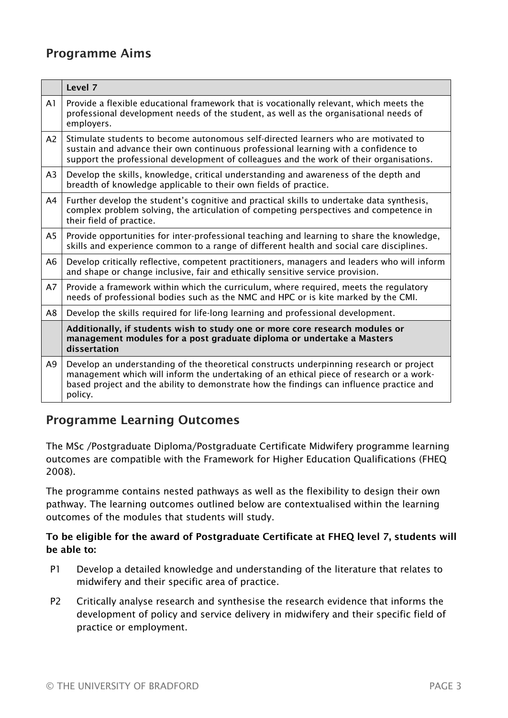# Programme Aims

|                | Level 7                                                                                                                                                                                                                                                                                   |
|----------------|-------------------------------------------------------------------------------------------------------------------------------------------------------------------------------------------------------------------------------------------------------------------------------------------|
| A1             | Provide a flexible educational framework that is vocationally relevant, which meets the<br>professional development needs of the student, as well as the organisational needs of<br>employers.                                                                                            |
| A <sub>2</sub> | Stimulate students to become autonomous self-directed learners who are motivated to<br>sustain and advance their own continuous professional learning with a confidence to<br>support the professional development of colleagues and the work of their organisations.                     |
| A <sub>3</sub> | Develop the skills, knowledge, critical understanding and awareness of the depth and<br>breadth of knowledge applicable to their own fields of practice.                                                                                                                                  |
| A4             | Further develop the student's cognitive and practical skills to undertake data synthesis,<br>complex problem solving, the articulation of competing perspectives and competence in<br>their field of practice.                                                                            |
| A5             | Provide opportunities for inter-professional teaching and learning to share the knowledge,<br>skills and experience common to a range of different health and social care disciplines.                                                                                                    |
| A6             | Develop critically reflective, competent practitioners, managers and leaders who will inform<br>and shape or change inclusive, fair and ethically sensitive service provision.                                                                                                            |
| A7             | Provide a framework within which the curriculum, where required, meets the regulatory<br>needs of professional bodies such as the NMC and HPC or is kite marked by the CMI.                                                                                                               |
| A8             | Develop the skills required for life-long learning and professional development.                                                                                                                                                                                                          |
|                | Additionally, if students wish to study one or more core research modules or<br>management modules for a post graduate diploma or undertake a Masters<br>dissertation                                                                                                                     |
| A <sub>9</sub> | Develop an understanding of the theoretical constructs underpinning research or project<br>management which will inform the undertaking of an ethical piece of research or a work-<br>based project and the ability to demonstrate how the findings can influence practice and<br>policy. |

# Programme Learning Outcomes

The MSc /Postgraduate Diploma/Postgraduate Certificate Midwifery programme learning outcomes are compatible with the Framework for Higher Education Qualifications (FHEQ 2008).

The programme contains nested pathways as well as the flexibility to design their own pathway. The learning outcomes outlined below are contextualised within the learning outcomes of the modules that students will study.

#### To be eligible for the award of Postgraduate Certificate at FHEQ level 7, students will be able to:

- P1 Develop a detailed knowledge and understanding of the literature that relates to midwifery and their specific area of practice.
- P2 Critically analyse research and synthesise the research evidence that informs the development of policy and service delivery in midwifery and their specific field of practice or employment.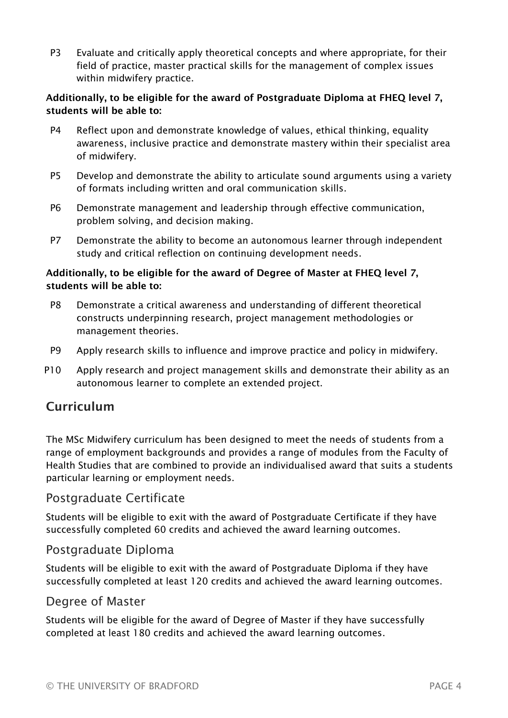P3 Evaluate and critically apply theoretical concepts and where appropriate, for their field of practice, master practical skills for the management of complex issues within midwifery practice.

#### Additionally, to be eligible for the award of Postgraduate Diploma at FHEQ level 7, students will be able to:

- P4 Reflect upon and demonstrate knowledge of values, ethical thinking, equality awareness, inclusive practice and demonstrate mastery within their specialist area of midwifery.
- P5 Develop and demonstrate the ability to articulate sound arguments using a variety of formats including written and oral communication skills.
- P6 Demonstrate management and leadership through effective communication, problem solving, and decision making.
- P7 Demonstrate the ability to become an autonomous learner through independent study and critical reflection on continuing development needs.

#### Additionally, to be eligible for the award of Degree of Master at FHEQ level 7, students will be able to:

- P8 Demonstrate a critical awareness and understanding of different theoretical constructs underpinning research, project management methodologies or management theories.
- P9 Apply research skills to influence and improve practice and policy in midwifery.
- P10 Apply research and project management skills and demonstrate their ability as an autonomous learner to complete an extended project.

# Curriculum

The MSc Midwifery curriculum has been designed to meet the needs of students from a range of employment backgrounds and provides a range of modules from the Faculty of Health Studies that are combined to provide an individualised award that suits a students particular learning or employment needs.

### Postgraduate Certificate

Students will be eligible to exit with the award of Postgraduate Certificate if they have successfully completed 60 credits and achieved the award learning outcomes.

#### Postgraduate Diploma

Students will be eligible to exit with the award of Postgraduate Diploma if they have successfully completed at least 120 credits and achieved the award learning outcomes.

### Degree of Master

Students will be eligible for the award of Degree of Master if they have successfully completed at least 180 credits and achieved the award learning outcomes.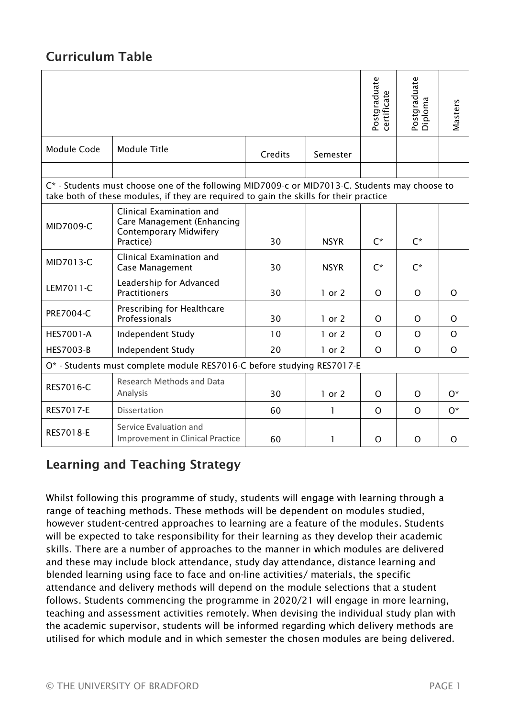# Curriculum Table

|                                                                                                                                                                                                                                                                                                                                                                                                                                                                                                                                                                                                                                                                                                                                                                                                                                                                                                                                                                                                                                                                                                        |                                                                                                      |         |             |          | Postgraduate<br>Diploma | Masters      |  |  |  |  |
|--------------------------------------------------------------------------------------------------------------------------------------------------------------------------------------------------------------------------------------------------------------------------------------------------------------------------------------------------------------------------------------------------------------------------------------------------------------------------------------------------------------------------------------------------------------------------------------------------------------------------------------------------------------------------------------------------------------------------------------------------------------------------------------------------------------------------------------------------------------------------------------------------------------------------------------------------------------------------------------------------------------------------------------------------------------------------------------------------------|------------------------------------------------------------------------------------------------------|---------|-------------|----------|-------------------------|--------------|--|--|--|--|
| Module Code                                                                                                                                                                                                                                                                                                                                                                                                                                                                                                                                                                                                                                                                                                                                                                                                                                                                                                                                                                                                                                                                                            | <b>Module Title</b>                                                                                  | Credits | Semester    |          |                         |              |  |  |  |  |
|                                                                                                                                                                                                                                                                                                                                                                                                                                                                                                                                                                                                                                                                                                                                                                                                                                                                                                                                                                                                                                                                                                        |                                                                                                      |         |             |          |                         |              |  |  |  |  |
| C* - Students must choose one of the following MID7009-c or MID7013-C. Students may choose to<br>take both of these modules, if they are required to gain the skills for their practice                                                                                                                                                                                                                                                                                                                                                                                                                                                                                                                                                                                                                                                                                                                                                                                                                                                                                                                |                                                                                                      |         |             |          |                         |              |  |  |  |  |
| MID7009-C                                                                                                                                                                                                                                                                                                                                                                                                                                                                                                                                                                                                                                                                                                                                                                                                                                                                                                                                                                                                                                                                                              | Clinical Examination and<br>Care Management (Enhancing<br><b>Contemporary Midwifery</b><br>Practice) | 30      | <b>NSYR</b> | $C^*$    | $C^*$                   |              |  |  |  |  |
| MID7013-C                                                                                                                                                                                                                                                                                                                                                                                                                                                                                                                                                                                                                                                                                                                                                                                                                                                                                                                                                                                                                                                                                              | Clinical Examination and<br><b>Case Management</b>                                                   | 30      | <b>NSYR</b> | $C^*$    | $C^*$                   |              |  |  |  |  |
| LEM7011-C                                                                                                                                                                                                                                                                                                                                                                                                                                                                                                                                                                                                                                                                                                                                                                                                                                                                                                                                                                                                                                                                                              | Leadership for Advanced<br><b>Practitioners</b>                                                      | 30      | $1$ or $2$  | $\Omega$ | O                       | $\Omega$     |  |  |  |  |
| <b>PRE7004-C</b>                                                                                                                                                                                                                                                                                                                                                                                                                                                                                                                                                                                                                                                                                                                                                                                                                                                                                                                                                                                                                                                                                       | Prescribing for Healthcare<br>Professionals                                                          | 30      | 1 or $2$    | O        | O                       | $\Omega$     |  |  |  |  |
| <b>HES7001-A</b>                                                                                                                                                                                                                                                                                                                                                                                                                                                                                                                                                                                                                                                                                                                                                                                                                                                                                                                                                                                                                                                                                       | Independent Study                                                                                    | 10      | $1$ or $2$  | $\circ$  | $\mathsf{O}$            | $\mathsf{O}$ |  |  |  |  |
| <b>HES7003-B</b>                                                                                                                                                                                                                                                                                                                                                                                                                                                                                                                                                                                                                                                                                                                                                                                                                                                                                                                                                                                                                                                                                       | Independent Study                                                                                    | 20      | $1$ or $2$  | $\circ$  | $\mathsf{O}$            | O            |  |  |  |  |
| O* - Students must complete module RES7016-C before studying RES7017-E                                                                                                                                                                                                                                                                                                                                                                                                                                                                                                                                                                                                                                                                                                                                                                                                                                                                                                                                                                                                                                 |                                                                                                      |         |             |          |                         |              |  |  |  |  |
| <b>RES7016-C</b>                                                                                                                                                                                                                                                                                                                                                                                                                                                                                                                                                                                                                                                                                                                                                                                                                                                                                                                                                                                                                                                                                       | <b>Research Methods and Data</b><br>Analysis                                                         | 30      | $1$ or $2$  | $\Omega$ | O                       | $O^*$        |  |  |  |  |
| <b>RES7017-E</b>                                                                                                                                                                                                                                                                                                                                                                                                                                                                                                                                                                                                                                                                                                                                                                                                                                                                                                                                                                                                                                                                                       | Dissertation                                                                                         | 60      | 1           | O        | O                       | $O^*$        |  |  |  |  |
| <b>RES7018-E</b>                                                                                                                                                                                                                                                                                                                                                                                                                                                                                                                                                                                                                                                                                                                                                                                                                                                                                                                                                                                                                                                                                       | Service Evaluation and<br>Improvement in Clinical Practice                                           | 60      | 1           | O        | O                       | O            |  |  |  |  |
| <b>Learning and Teaching Strategy</b>                                                                                                                                                                                                                                                                                                                                                                                                                                                                                                                                                                                                                                                                                                                                                                                                                                                                                                                                                                                                                                                                  |                                                                                                      |         |             |          |                         |              |  |  |  |  |
| Whilst following this programme of study, students will engage with learning through a<br>range of teaching methods. These methods will be dependent on modules studied,<br>however student-centred approaches to learning are a feature of the modules. Students<br>will be expected to take responsibility for their learning as they develop their academic<br>skills. There are a number of approaches to the manner in which modules are delivered<br>and these may include block attendance, study day attendance, distance learning and<br>blended learning using face to face and on-line activities/ materials, the specific<br>attendance and delivery methods will depend on the module selections that a student<br>follows. Students commencing the programme in 2020/21 will engage in more learning,<br>teaching and assessment activities remotely. When devising the individual study plan with<br>the academic supervisor, students will be informed regarding which delivery methods are<br>utilised for which module and in which semester the chosen modules are being delivered. |                                                                                                      |         |             |          |                         |              |  |  |  |  |

# Learning and Teaching Strategy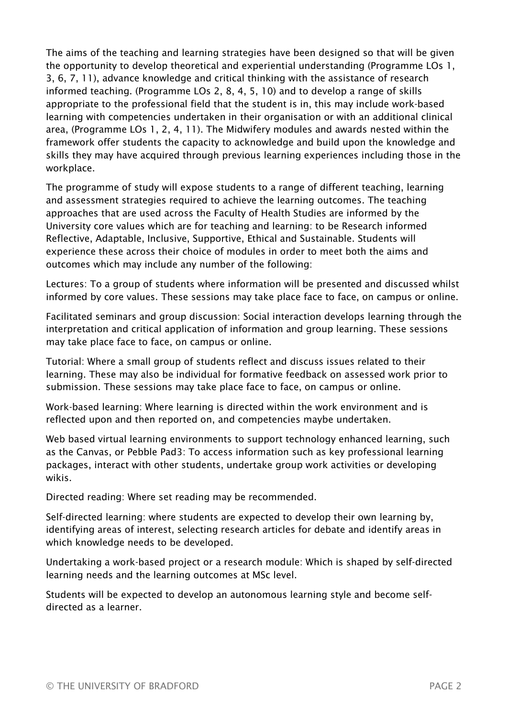The aims of the teaching and learning strategies have been designed so that will be given the opportunity to develop theoretical and experiential understanding (Programme LOs 1, 3, 6, 7, 11), advance knowledge and critical thinking with the assistance of research informed teaching. (Programme LOs 2, 8, 4, 5, 10) and to develop a range of skills appropriate to the professional field that the student is in, this may include work-based learning with competencies undertaken in their organisation or with an additional clinical area, (Programme LOs 1, 2, 4, 11). The Midwifery modules and awards nested within the framework offer students the capacity to acknowledge and build upon the knowledge and skills they may have acquired through previous learning experiences including those in the workplace.

The programme of study will expose students to a range of different teaching, learning and assessment strategies required to achieve the learning outcomes. The teaching approaches that are used across the Faculty of Health Studies are informed by the University core values which are for teaching and learning: to be Research informed Reflective, Adaptable, Inclusive, Supportive, Ethical and Sustainable. Students will experience these across their choice of modules in order to meet both the aims and outcomes which may include any number of the following:

Lectures: To a group of students where information will be presented and discussed whilst informed by core values. These sessions may take place face to face, on campus or online.

Facilitated seminars and group discussion: Social interaction develops learning through the interpretation and critical application of information and group learning. These sessions may take place face to face, on campus or online.

Tutorial: Where a small group of students reflect and discuss issues related to their learning. These may also be individual for formative feedback on assessed work prior to submission. These sessions may take place face to face, on campus or online.

Work-based learning: Where learning is directed within the work environment and is reflected upon and then reported on, and competencies maybe undertaken.

Web based virtual learning environments to support technology enhanced learning, such as the Canvas, or Pebble Pad3: To access information such as key professional learning packages, interact with other students, undertake group work activities or developing wikis.

Directed reading: Where set reading may be recommended.

Self-directed learning: where students are expected to develop their own learning by, identifying areas of interest, selecting research articles for debate and identify areas in which knowledge needs to be developed.

Undertaking a work-based project or a research module: Which is shaped by self-directed learning needs and the learning outcomes at MSc level.

Students will be expected to develop an autonomous learning style and become selfdirected as a learner.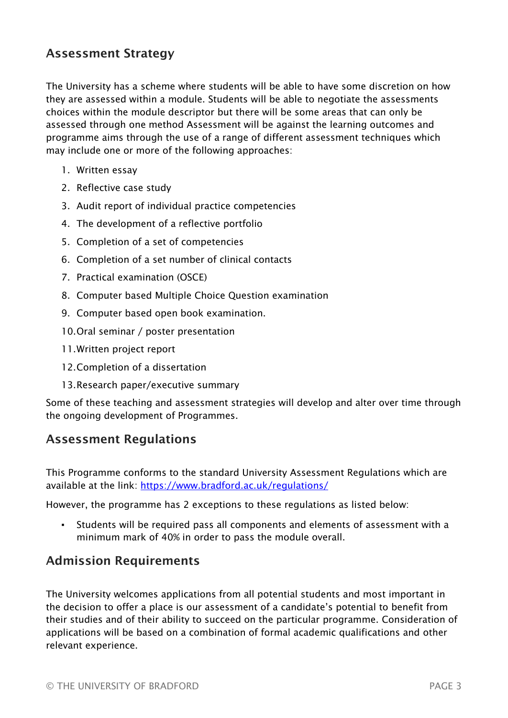## Assessment Strategy

The University has a scheme where students will be able to have some discretion on how they are assessed within a module. Students will be able to negotiate the assessments choices within the module descriptor but there will be some areas that can only be assessed through one method Assessment will be against the learning outcomes and programme aims through the use of a range of different assessment techniques which may include one or more of the following approaches:

- 1. Written essay
- 2. Reflective case study
- 3. Audit report of individual practice competencies
- 4. The development of a reflective portfolio
- 5. Completion of a set of competencies
- 6. Completion of a set number of clinical contacts
- 7. Practical examination (OSCE)
- 8. Computer based Multiple Choice Question examination
- 9. Computer based open book examination.
- 10.Oral seminar / poster presentation
- 11.Written project report
- 12.Completion of a dissertation
- 13.Research paper/executive summary

Some of these teaching and assessment strategies will develop and alter over time through the ongoing development of Programmes.

### Assessment Regulations

This Programme conforms to the standard University Assessment Regulations which are available at the link: <https://www.bradford.ac.uk/regulations/>

However, the programme has 2 exceptions to these regulations as listed below:

▪ Students will be required pass all components and elements of assessment with a minimum mark of 40% in order to pass the module overall.

# Admission Requirements

The University welcomes applications from all potential students and most important in the decision to offer a place is our assessment of a candidate's potential to benefit from their studies and of their ability to succeed on the particular programme. Consideration of applications will be based on a combination of formal academic qualifications and other relevant experience.